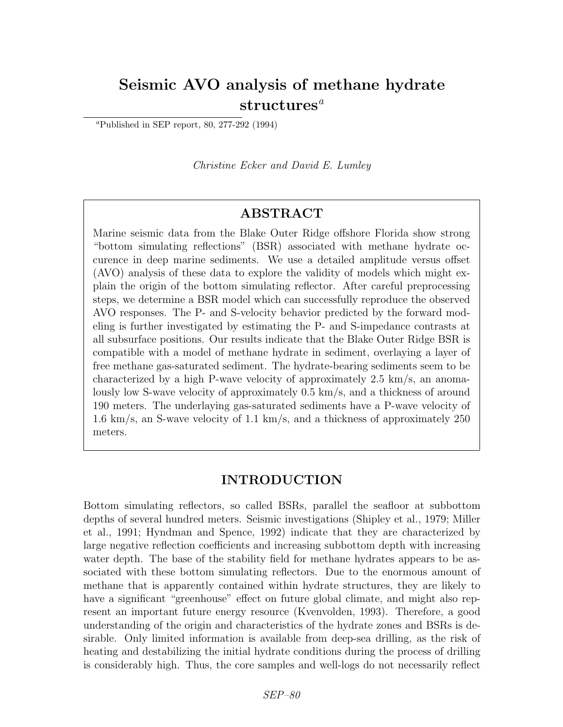# Seismic AVO analysis of methane hydrate  $structure<sup>a</sup>$

<sup>a</sup>Published in SEP report, 80, 277-292 (1994)

Christine Ecker and David E. Lumley

# ABSTRACT

Marine seismic data from the Blake Outer Ridge offshore Florida show strong "bottom simulating reflections" (BSR) associated with methane hydrate occurence in deep marine sediments. We use a detailed amplitude versus offset (AVO) analysis of these data to explore the validity of models which might explain the origin of the bottom simulating reflector. After careful preprocessing steps, we determine a BSR model which can successfully reproduce the observed AVO responses. The P- and S-velocity behavior predicted by the forward modeling is further investigated by estimating the P- and S-impedance contrasts at all subsurface positions. Our results indicate that the Blake Outer Ridge BSR is compatible with a model of methane hydrate in sediment, overlaying a layer of free methane gas-saturated sediment. The hydrate-bearing sediments seem to be characterized by a high P-wave velocity of approximately 2.5 km/s, an anomalously low S-wave velocity of approximately 0.5 km/s, and a thickness of around 190 meters. The underlaying gas-saturated sediments have a P-wave velocity of 1.6 km/s, an S-wave velocity of 1.1 km/s, and a thickness of approximately 250 meters.

# INTRODUCTION

Bottom simulating reflectors, so called BSRs, parallel the seafloor at subbottom depths of several hundred meters. Seismic investigations (Shipley et al., 1979; Miller et al., 1991; Hyndman and Spence, 1992) indicate that they are characterized by large negative reflection coefficients and increasing subbottom depth with increasing water depth. The base of the stability field for methane hydrates appears to be associated with these bottom simulating reflectors. Due to the enormous amount of methane that is apparently contained within hydrate structures, they are likely to have a significant "greenhouse" effect on future global climate, and might also represent an important future energy resource (Kvenvolden, 1993). Therefore, a good understanding of the origin and characteristics of the hydrate zones and BSRs is desirable. Only limited information is available from deep-sea drilling, as the risk of heating and destabilizing the initial hydrate conditions during the process of drilling is considerably high. Thus, the core samples and well-logs do not necessarily reflect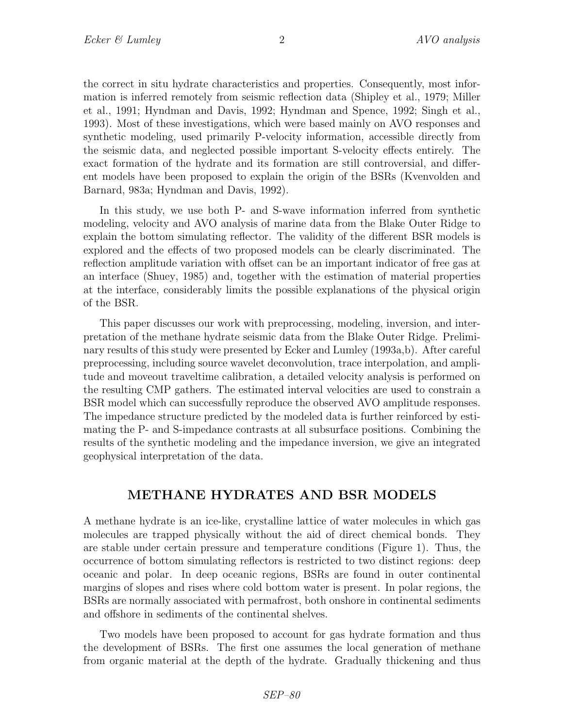the correct in situ hydrate characteristics and properties. Consequently, most information is inferred remotely from seismic reflection data (Shipley et al., 1979; Miller et al., 1991; Hyndman and Davis, 1992; Hyndman and Spence, 1992; Singh et al., 1993). Most of these investigations, which were based mainly on AVO responses and synthetic modeling, used primarily P-velocity information, accessible directly from the seismic data, and neglected possible important S-velocity effects entirely. The exact formation of the hydrate and its formation are still controversial, and different models have been proposed to explain the origin of the BSRs (Kvenvolden and Barnard, 983a; Hyndman and Davis, 1992).

In this study, we use both P- and S-wave information inferred from synthetic modeling, velocity and AVO analysis of marine data from the Blake Outer Ridge to explain the bottom simulating reflector. The validity of the different BSR models is explored and the effects of two proposed models can be clearly discriminated. The reflection amplitude variation with offset can be an important indicator of free gas at an interface (Shuey, 1985) and, together with the estimation of material properties at the interface, considerably limits the possible explanations of the physical origin of the BSR.

This paper discusses our work with preprocessing, modeling, inversion, and interpretation of the methane hydrate seismic data from the Blake Outer Ridge. Preliminary results of this study were presented by Ecker and Lumley (1993a,b). After careful preprocessing, including source wavelet deconvolution, trace interpolation, and amplitude and moveout traveltime calibration, a detailed velocity analysis is performed on the resulting CMP gathers. The estimated interval velocities are used to constrain a BSR model which can successfully reproduce the observed AVO amplitude responses. The impedance structure predicted by the modeled data is further reinforced by estimating the P- and S-impedance contrasts at all subsurface positions. Combining the results of the synthetic modeling and the impedance inversion, we give an integrated geophysical interpretation of the data.

## METHANE HYDRATES AND BSR MODELS

A methane hydrate is an ice-like, crystalline lattice of water molecules in which gas molecules are trapped physically without the aid of direct chemical bonds. They are stable under certain pressure and temperature conditions (Figure 1). Thus, the occurrence of bottom simulating reflectors is restricted to two distinct regions: deep oceanic and polar. In deep oceanic regions, BSRs are found in outer continental margins of slopes and rises where cold bottom water is present. In polar regions, the BSRs are normally associated with permafrost, both onshore in continental sediments and offshore in sediments of the continental shelves.

Two models have been proposed to account for gas hydrate formation and thus the development of BSRs. The first one assumes the local generation of methane from organic material at the depth of the hydrate. Gradually thickening and thus

SEP–80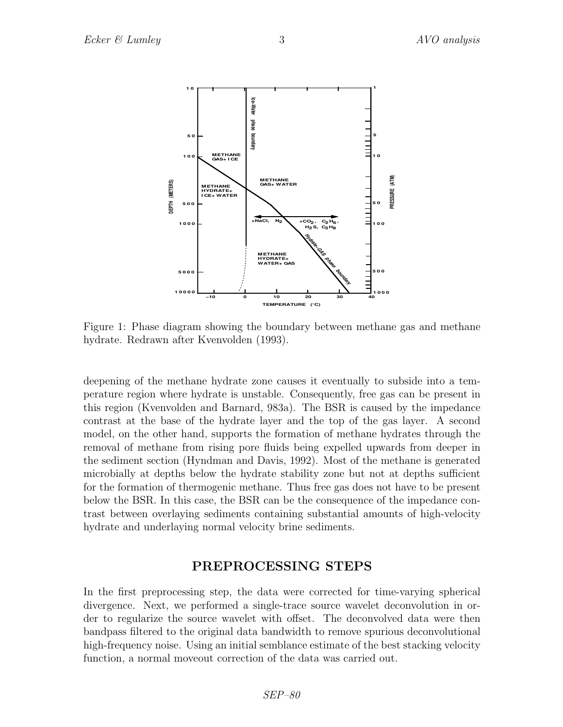

Figure 1: Phase diagram showing the boundary between methane gas and methane hydrate. Redrawn after Kvenvolden (1993).

deepening of the methane hydrate zone causes it eventually to subside into a temperature region where hydrate is unstable. Consequently, free gas can be present in this region (Kvenvolden and Barnard, 983a). The BSR is caused by the impedance contrast at the base of the hydrate layer and the top of the gas layer. A second model, on the other hand, supports the formation of methane hydrates through the removal of methane from rising pore fluids being expelled upwards from deeper in the sediment section (Hyndman and Davis, 1992). Most of the methane is generated microbially at depths below the hydrate stability zone but not at depths sufficient for the formation of thermogenic methane. Thus free gas does not have to be present below the BSR. In this case, the BSR can be the consequence of the impedance contrast between overlaying sediments containing substantial amounts of high-velocity hydrate and underlaying normal velocity brine sediments.

## PREPROCESSING STEPS

In the first preprocessing step, the data were corrected for time-varying spherical divergence. Next, we performed a single-trace source wavelet deconvolution in order to regularize the source wavelet with offset. The deconvolved data were then bandpass filtered to the original data bandwidth to remove spurious deconvolutional high-frequency noise. Using an initial semblance estimate of the best stacking velocity function, a normal moveout correction of the data was carried out.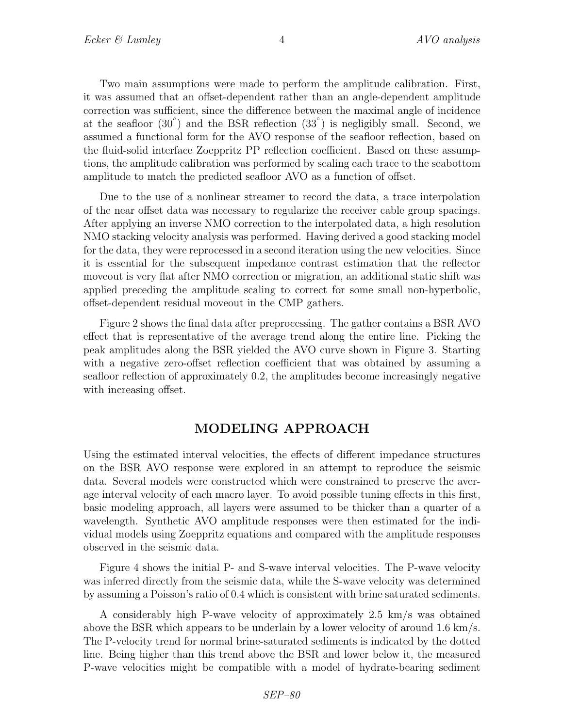Two main assumptions were made to perform the amplitude calibration. First, it was assumed that an offset-dependent rather than an angle-dependent amplitude correction was sufficient, since the difference between the maximal angle of incidence at the seafloor  $(30°)$  and the BSR reflection  $(33°)$  is negligibly small. Second, we assumed a functional form for the AVO response of the seafloor reflection, based on the fluid-solid interface Zoeppritz PP reflection coefficient. Based on these assumptions, the amplitude calibration was performed by scaling each trace to the seabottom amplitude to match the predicted seafloor AVO as a function of offset.

Due to the use of a nonlinear streamer to record the data, a trace interpolation of the near offset data was necessary to regularize the receiver cable group spacings. After applying an inverse NMO correction to the interpolated data, a high resolution NMO stacking velocity analysis was performed. Having derived a good stacking model for the data, they were reprocessed in a second iteration using the new velocities. Since it is essential for the subsequent impedance contrast estimation that the reflector moveout is very flat after NMO correction or migration, an additional static shift was applied preceding the amplitude scaling to correct for some small non-hyperbolic, offset-dependent residual moveout in the CMP gathers.

Figure 2 shows the final data after preprocessing. The gather contains a BSR AVO effect that is representative of the average trend along the entire line. Picking the peak amplitudes along the BSR yielded the AVO curve shown in Figure 3. Starting with a negative zero-offset reflection coefficient that was obtained by assuming a seafloor reflection of approximately 0.2, the amplitudes become increasingly negative with increasing offset.

# MODELING APPROACH

Using the estimated interval velocities, the effects of different impedance structures on the BSR AVO response were explored in an attempt to reproduce the seismic data. Several models were constructed which were constrained to preserve the average interval velocity of each macro layer. To avoid possible tuning effects in this first, basic modeling approach, all layers were assumed to be thicker than a quarter of a wavelength. Synthetic AVO amplitude responses were then estimated for the individual models using Zoeppritz equations and compared with the amplitude responses observed in the seismic data.

Figure 4 shows the initial P- and S-wave interval velocities. The P-wave velocity was inferred directly from the seismic data, while the S-wave velocity was determined by assuming a Poisson's ratio of 0.4 which is consistent with brine saturated sediments.

A considerably high P-wave velocity of approximately 2.5 km/s was obtained above the BSR which appears to be underlain by a lower velocity of around 1.6 km/s. The P-velocity trend for normal brine-saturated sediments is indicated by the dotted line. Being higher than this trend above the BSR and lower below it, the measured P-wave velocities might be compatible with a model of hydrate-bearing sediment

SEP–80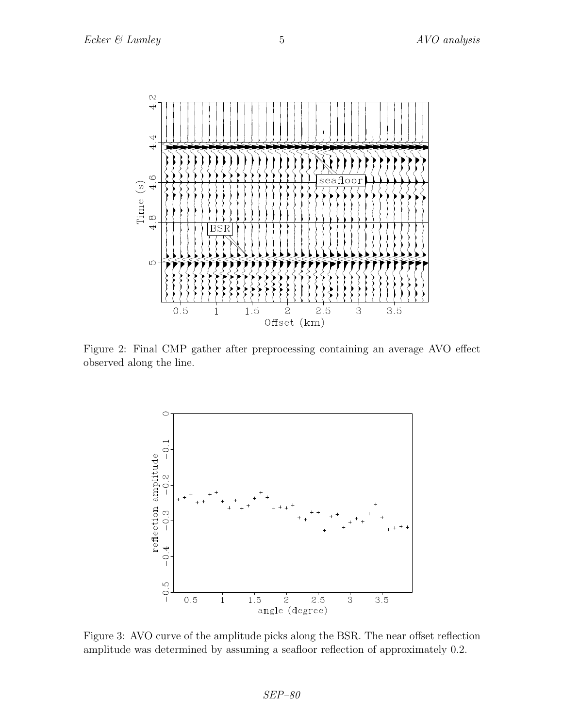

Figure 2: Final CMP gather after preprocessing containing an average AVO effect observed along the line.



Figure 3: AVO curve of the amplitude picks along the BSR. The near offset reflection amplitude was determined by assuming a seafloor reflection of approximately 0.2.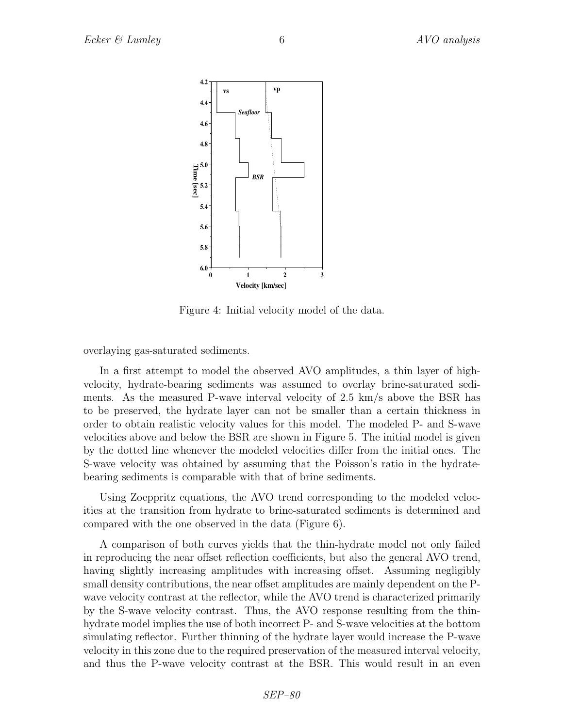

Figure 4: Initial velocity model of the data.

overlaying gas-saturated sediments.

In a first attempt to model the observed AVO amplitudes, a thin layer of highvelocity, hydrate-bearing sediments was assumed to overlay brine-saturated sediments. As the measured P-wave interval velocity of 2.5 km/s above the BSR has to be preserved, the hydrate layer can not be smaller than a certain thickness in order to obtain realistic velocity values for this model. The modeled P- and S-wave velocities above and below the BSR are shown in Figure 5. The initial model is given by the dotted line whenever the modeled velocities differ from the initial ones. The S-wave velocity was obtained by assuming that the Poisson's ratio in the hydratebearing sediments is comparable with that of brine sediments.

Using Zoeppritz equations, the AVO trend corresponding to the modeled velocities at the transition from hydrate to brine-saturated sediments is determined and compared with the one observed in the data (Figure 6).

A comparison of both curves yields that the thin-hydrate model not only failed in reproducing the near offset reflection coefficients, but also the general AVO trend, having slightly increasing amplitudes with increasing offset. Assuming negligibly small density contributions, the near offset amplitudes are mainly dependent on the Pwave velocity contrast at the reflector, while the AVO trend is characterized primarily by the S-wave velocity contrast. Thus, the AVO response resulting from the thinhydrate model implies the use of both incorrect P- and S-wave velocities at the bottom simulating reflector. Further thinning of the hydrate layer would increase the P-wave velocity in this zone due to the required preservation of the measured interval velocity, and thus the P-wave velocity contrast at the BSR. This would result in an even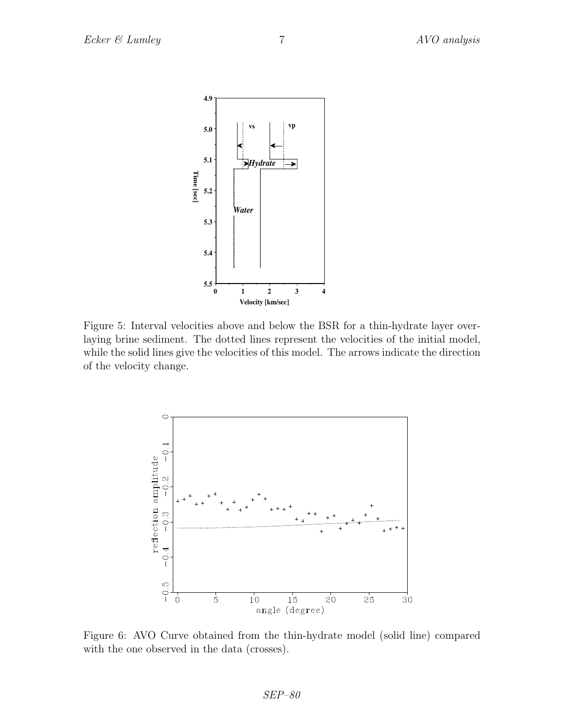

Figure 5: Interval velocities above and below the BSR for a thin-hydrate layer overlaying brine sediment. The dotted lines represent the velocities of the initial model, while the solid lines give the velocities of this model. The arrows indicate the direction of the velocity change.



Figure 6: AVO Curve obtained from the thin-hydrate model (solid line) compared with the one observed in the data (crosses).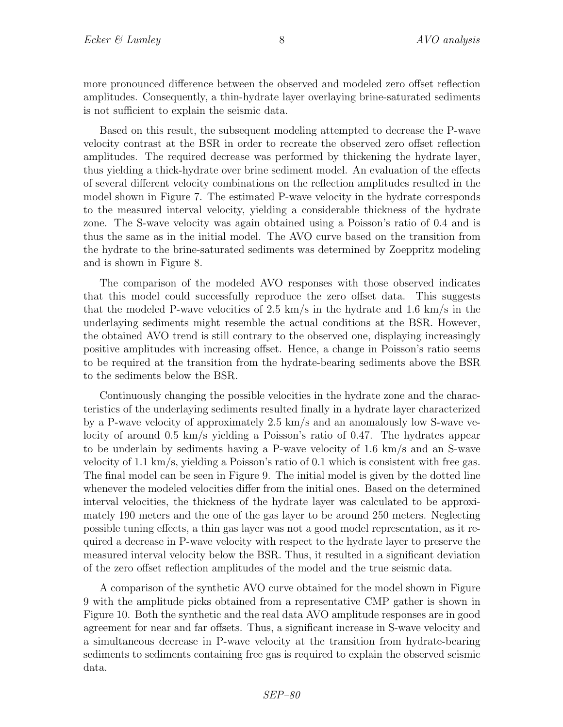more pronounced difference between the observed and modeled zero offset reflection amplitudes. Consequently, a thin-hydrate layer overlaying brine-saturated sediments is not sufficient to explain the seismic data.

Based on this result, the subsequent modeling attempted to decrease the P-wave velocity contrast at the BSR in order to recreate the observed zero offset reflection amplitudes. The required decrease was performed by thickening the hydrate layer, thus yielding a thick-hydrate over brine sediment model. An evaluation of the effects of several different velocity combinations on the reflection amplitudes resulted in the model shown in Figure 7. The estimated P-wave velocity in the hydrate corresponds to the measured interval velocity, yielding a considerable thickness of the hydrate zone. The S-wave velocity was again obtained using a Poisson's ratio of 0.4 and is thus the same as in the initial model. The AVO curve based on the transition from the hydrate to the brine-saturated sediments was determined by Zoeppritz modeling and is shown in Figure 8.

The comparison of the modeled AVO responses with those observed indicates that this model could successfully reproduce the zero offset data. This suggests that the modeled P-wave velocities of 2.5 km/s in the hydrate and 1.6 km/s in the underlaying sediments might resemble the actual conditions at the BSR. However, the obtained AVO trend is still contrary to the observed one, displaying increasingly positive amplitudes with increasing offset. Hence, a change in Poisson's ratio seems to be required at the transition from the hydrate-bearing sediments above the BSR to the sediments below the BSR.

Continuously changing the possible velocities in the hydrate zone and the characteristics of the underlaying sediments resulted finally in a hydrate layer characterized by a P-wave velocity of approximately 2.5 km/s and an anomalously low S-wave velocity of around 0.5 km/s yielding a Poisson's ratio of 0.47. The hydrates appear to be underlain by sediments having a P-wave velocity of 1.6 km/s and an S-wave velocity of 1.1 km/s, yielding a Poisson's ratio of 0.1 which is consistent with free gas. The final model can be seen in Figure 9. The initial model is given by the dotted line whenever the modeled velocities differ from the initial ones. Based on the determined interval velocities, the thickness of the hydrate layer was calculated to be approximately 190 meters and the one of the gas layer to be around 250 meters. Neglecting possible tuning effects, a thin gas layer was not a good model representation, as it required a decrease in P-wave velocity with respect to the hydrate layer to preserve the measured interval velocity below the BSR. Thus, it resulted in a significant deviation of the zero offset reflection amplitudes of the model and the true seismic data.

A comparison of the synthetic AVO curve obtained for the model shown in Figure 9 with the amplitude picks obtained from a representative CMP gather is shown in Figure 10. Both the synthetic and the real data AVO amplitude responses are in good agreement for near and far offsets. Thus, a significant increase in S-wave velocity and a simultaneous decrease in P-wave velocity at the transition from hydrate-bearing sediments to sediments containing free gas is required to explain the observed seismic data.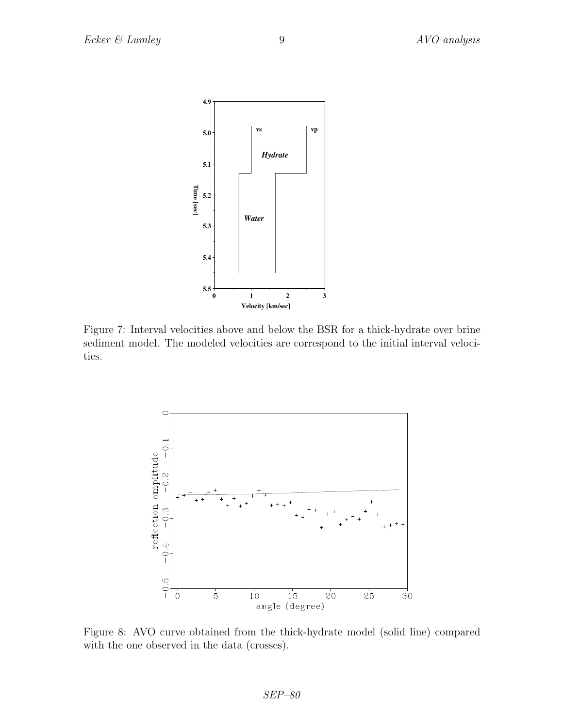

Figure 7: Interval velocities above and below the BSR for a thick-hydrate over brine sediment model. The modeled velocities are correspond to the initial interval velocities.



Figure 8: AVO curve obtained from the thick-hydrate model (solid line) compared with the one observed in the data (crosses).

SEP–80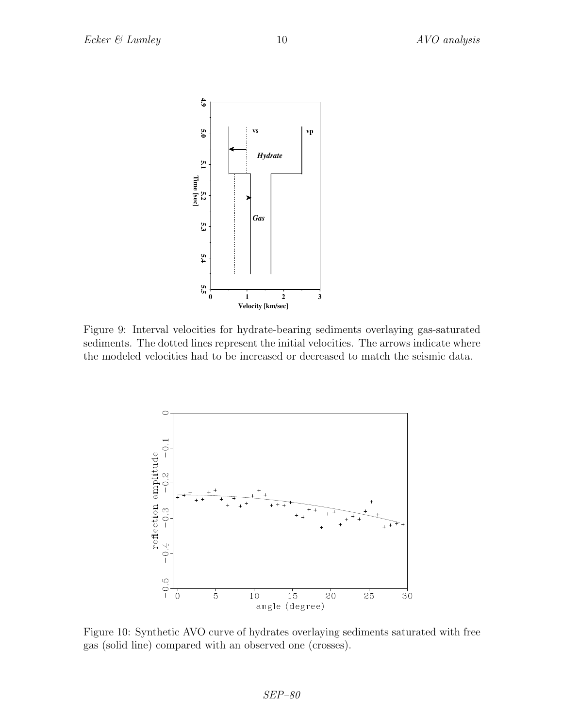

Figure 9: Interval velocities for hydrate-bearing sediments overlaying gas-saturated sediments. The dotted lines represent the initial velocities. The arrows indicate where the modeled velocities had to be increased or decreased to match the seismic data.



Figure 10: Synthetic AVO curve of hydrates overlaying sediments saturated with free gas (solid line) compared with an observed one (crosses).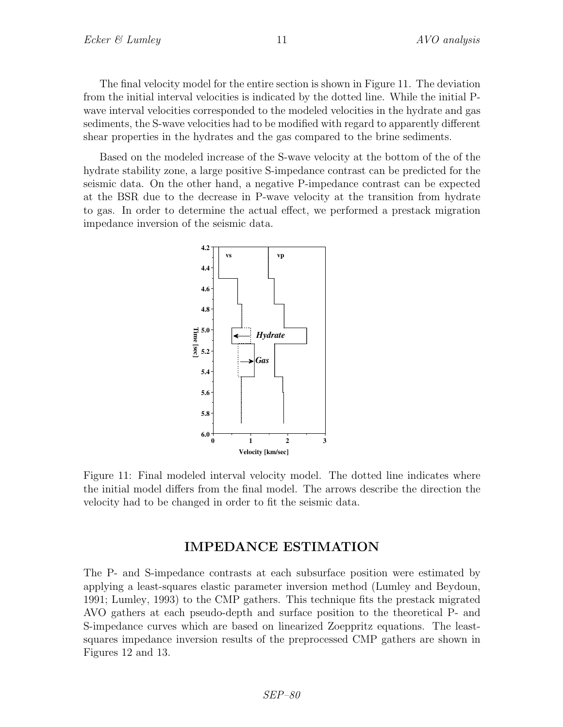The final velocity model for the entire section is shown in Figure 11. The deviation from the initial interval velocities is indicated by the dotted line. While the initial Pwave interval velocities corresponded to the modeled velocities in the hydrate and gas sediments, the S-wave velocities had to be modified with regard to apparently different shear properties in the hydrates and the gas compared to the brine sediments.

Based on the modeled increase of the S-wave velocity at the bottom of the of the hydrate stability zone, a large positive S-impedance contrast can be predicted for the seismic data. On the other hand, a negative P-impedance contrast can be expected at the BSR due to the decrease in P-wave velocity at the transition from hydrate to gas. In order to determine the actual effect, we performed a prestack migration impedance inversion of the seismic data.



Figure 11: Final modeled interval velocity model. The dotted line indicates where the initial model differs from the final model. The arrows describe the direction the velocity had to be changed in order to fit the seismic data.

## IMPEDANCE ESTIMATION

The P- and S-impedance contrasts at each subsurface position were estimated by applying a least-squares elastic parameter inversion method (Lumley and Beydoun, 1991; Lumley, 1993) to the CMP gathers. This technique fits the prestack migrated AVO gathers at each pseudo-depth and surface position to the theoretical P- and S-impedance curves which are based on linearized Zoeppritz equations. The leastsquares impedance inversion results of the preprocessed CMP gathers are shown in Figures 12 and 13.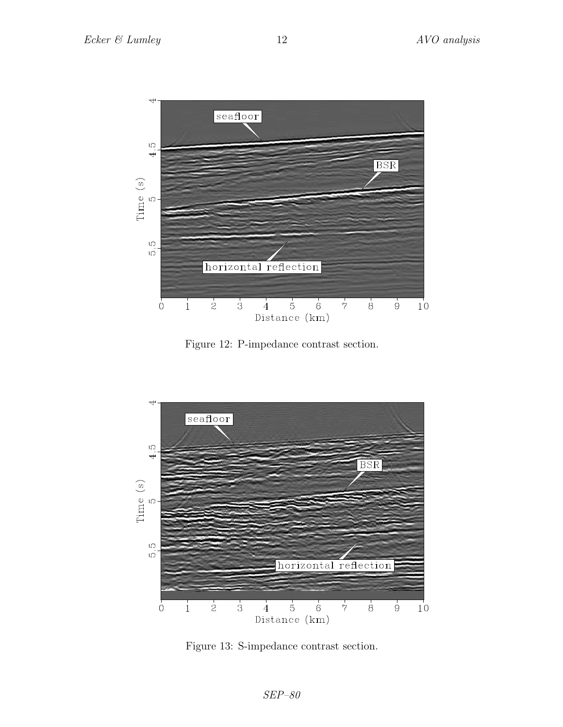

Figure 12: P-impedance contrast section.



Figure 13: S-impedance contrast section.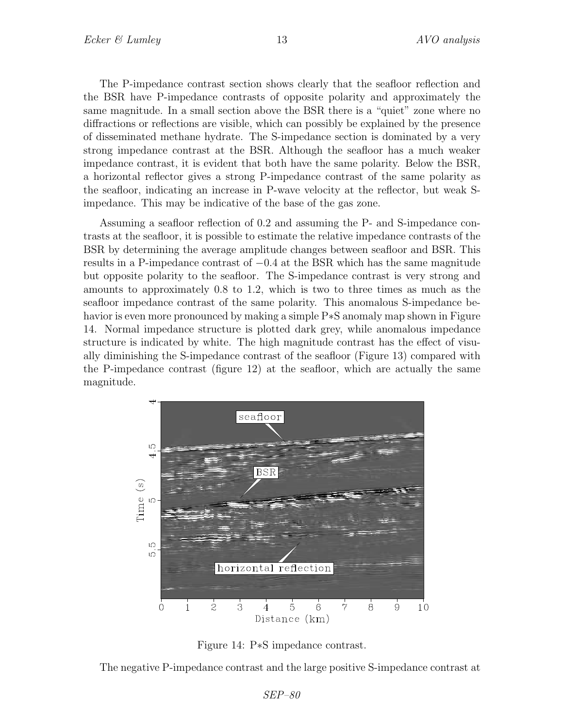The P-impedance contrast section shows clearly that the seafloor reflection and the BSR have P-impedance contrasts of opposite polarity and approximately the same magnitude. In a small section above the BSR there is a "quiet" zone where no diffractions or reflections are visible, which can possibly be explained by the presence of disseminated methane hydrate. The S-impedance section is dominated by a very strong impedance contrast at the BSR. Although the seafloor has a much weaker impedance contrast, it is evident that both have the same polarity. Below the BSR, a horizontal reflector gives a strong P-impedance contrast of the same polarity as the seafloor, indicating an increase in P-wave velocity at the reflector, but weak Simpedance. This may be indicative of the base of the gas zone.

Assuming a seafloor reflection of 0.2 and assuming the P- and S-impedance contrasts at the seafloor, it is possible to estimate the relative impedance contrasts of the BSR by determining the average amplitude changes between seafloor and BSR. This results in a P-impedance contrast of −0.4 at the BSR which has the same magnitude but opposite polarity to the seafloor. The S-impedance contrast is very strong and amounts to approximately 0.8 to 1.2, which is two to three times as much as the seafloor impedance contrast of the same polarity. This anomalous S-impedance behavior is even more pronounced by making a simple P∗S anomaly map shown in Figure 14. Normal impedance structure is plotted dark grey, while anomalous impedance structure is indicated by white. The high magnitude contrast has the effect of visually diminishing the S-impedance contrast of the seafloor (Figure 13) compared with the P-impedance contrast (figure 12) at the seafloor, which are actually the same magnitude.



Figure 14: P∗S impedance contrast.

The negative P-impedance contrast and the large positive S-impedance contrast at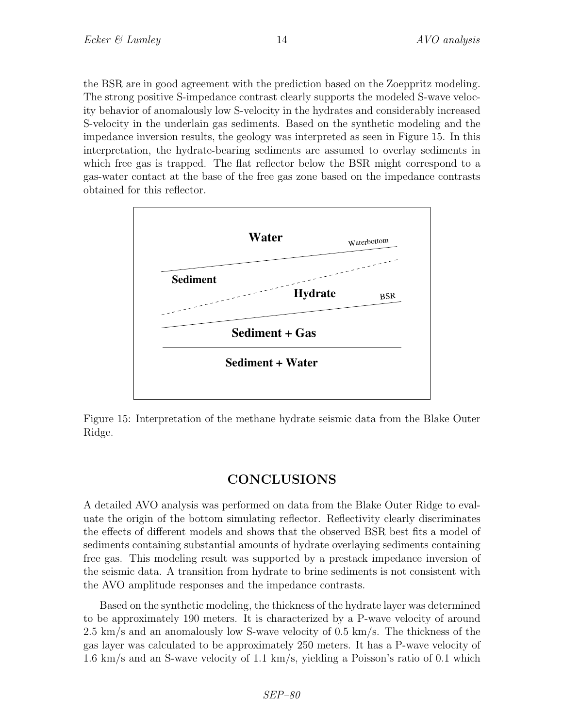the BSR are in good agreement with the prediction based on the Zoeppritz modeling. The strong positive S-impedance contrast clearly supports the modeled S-wave velocity behavior of anomalously low S-velocity in the hydrates and considerably increased S-velocity in the underlain gas sediments. Based on the synthetic modeling and the impedance inversion results, the geology was interpreted as seen in Figure 15. In this interpretation, the hydrate-bearing sediments are assumed to overlay sediments in which free gas is trapped. The flat reflector below the BSR might correspond to a gas-water contact at the base of the free gas zone based on the impedance contrasts obtained for this reflector.



Figure 15: Interpretation of the methane hydrate seismic data from the Blake Outer Ridge.

## CONCLUSIONS

A detailed AVO analysis was performed on data from the Blake Outer Ridge to evaluate the origin of the bottom simulating reflector. Reflectivity clearly discriminates the effects of different models and shows that the observed BSR best fits a model of sediments containing substantial amounts of hydrate overlaying sediments containing free gas. This modeling result was supported by a prestack impedance inversion of the seismic data. A transition from hydrate to brine sediments is not consistent with the AVO amplitude responses and the impedance contrasts.

Based on the synthetic modeling, the thickness of the hydrate layer was determined to be approximately 190 meters. It is characterized by a P-wave velocity of around 2.5 km/s and an anomalously low S-wave velocity of 0.5 km/s. The thickness of the gas layer was calculated to be approximately 250 meters. It has a P-wave velocity of 1.6 km/s and an S-wave velocity of 1.1 km/s, yielding a Poisson's ratio of 0.1 which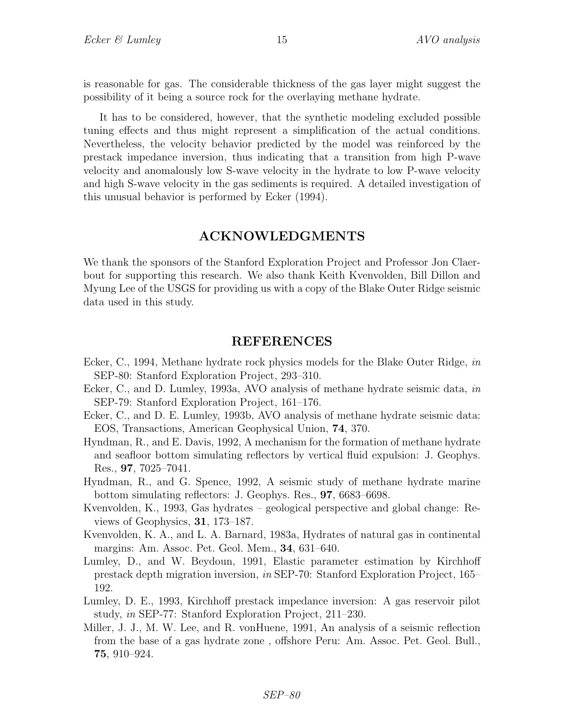is reasonable for gas. The considerable thickness of the gas layer might suggest the possibility of it being a source rock for the overlaying methane hydrate.

It has to be considered, however, that the synthetic modeling excluded possible tuning effects and thus might represent a simplification of the actual conditions. Nevertheless, the velocity behavior predicted by the model was reinforced by the prestack impedance inversion, thus indicating that a transition from high P-wave velocity and anomalously low S-wave velocity in the hydrate to low P-wave velocity and high S-wave velocity in the gas sediments is required. A detailed investigation of this unusual behavior is performed by Ecker (1994).

## ACKNOWLEDGMENTS

We thank the sponsors of the Stanford Exploration Project and Professor Jon Claerbout for supporting this research. We also thank Keith Kvenvolden, Bill Dillon and Myung Lee of the USGS for providing us with a copy of the Blake Outer Ridge seismic data used in this study.

#### REFERENCES

- Ecker, C., 1994, Methane hydrate rock physics models for the Blake Outer Ridge, in SEP-80: Stanford Exploration Project, 293–310.
- Ecker, C., and D. Lumley, 1993a, AVO analysis of methane hydrate seismic data, in SEP-79: Stanford Exploration Project, 161–176.
- Ecker, C., and D. E. Lumley, 1993b, AVO analysis of methane hydrate seismic data: EOS, Transactions, American Geophysical Union, 74, 370.
- Hyndman, R., and E. Davis, 1992, A mechanism for the formation of methane hydrate and seafloor bottom simulating reflectors by vertical fluid expulsion: J. Geophys. Res., 97, 7025–7041.
- Hyndman, R., and G. Spence, 1992, A seismic study of methane hydrate marine bottom simulating reflectors: J. Geophys. Res., 97, 6683–6698.
- Kvenvolden, K., 1993, Gas hydrates geological perspective and global change: Reviews of Geophysics, 31, 173–187.
- Kvenvolden, K. A., and L. A. Barnard, 1983a, Hydrates of natural gas in continental margins: Am. Assoc. Pet. Geol. Mem., 34, 631–640.
- Lumley, D., and W. Beydoun, 1991, Elastic parameter estimation by Kirchhoff prestack depth migration inversion, in SEP-70: Stanford Exploration Project, 165– 192.
- Lumley, D. E., 1993, Kirchhoff prestack impedance inversion: A gas reservoir pilot study, in SEP-77: Stanford Exploration Project, 211–230.
- Miller, J. J., M. W. Lee, and R. vonHuene, 1991, An analysis of a seismic reflection from the base of a gas hydrate zone , offshore Peru: Am. Assoc. Pet. Geol. Bull., 75, 910–924.